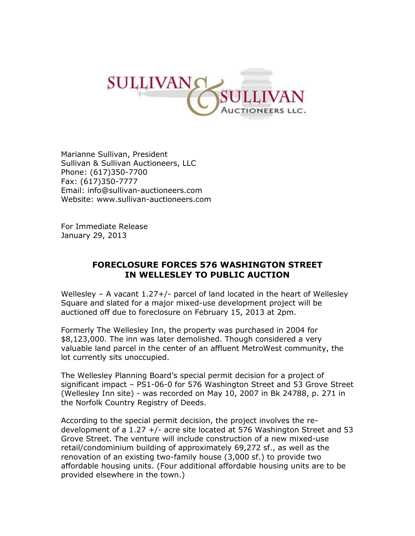

Marianne Sullivan, President Sullivan & Sullivan Auctioneers, LLC Phone: (617)350-7700 Fax: (617)350-7777 Email: [info@sullivan-auctioneers.com](mailto:info@sullivan-auctioneers.com) Website: [www.sullivan-auctioneers.com](http://www.sullivan-auctioneers.com/)

For Immediate Release January 29, 2013

## **FORECLOSURE FORCES 576 WASHINGTON STREET IN WELLESLEY TO PUBLIC AUCTION**

Wellesley – A vacant 1.27+/- parcel of land located in the heart of Wellesley Square and slated for a major mixed-use development project will be auctioned off due to foreclosure on February 15, 2013 at 2pm.

Formerly The Wellesley Inn, the property was purchased in 2004 for \$8,123,000. The inn was later demolished. Though considered a very valuable land parcel in the center of an affluent MetroWest community, the lot currently sits unoccupied.

The Wellesley Planning Board's special permit decision for a project of significant impact – PS1-06-0 for 576 Washington Street and 53 Grove Street (Wellesley Inn site) - was recorded on May 10, 2007 in Bk 24788, p. 271 in the Norfolk Country Registry of Deeds.

According to the special permit decision, the project involves the redevelopment of a 1.27 +/- acre site located at 576 Washington Street and 53 Grove Street. The venture will include construction of a new mixed-use retail/condominium building of approximately 69,272 sf., as well as the renovation of an existing two-family house (3,000 sf.) to provide two affordable housing units. (Four additional affordable housing units are to be provided elsewhere in the town.)